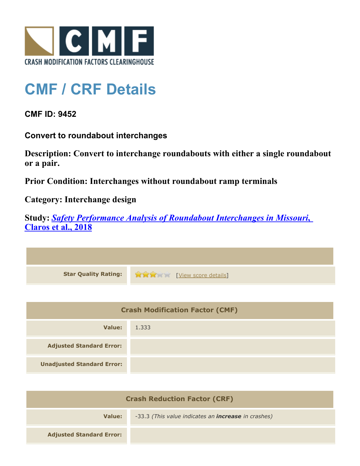

## **CMF / CRF Details**

**CMF ID: 9452**

**Convert to roundabout interchanges**

**Description: Convert to interchange roundabouts with either a single roundabout or a pair.**

**Prior Condition: Interchanges without roundabout ramp terminals**

**Category: Interchange design**

**Study:** *[Safety Performance Analysis of Roundabout Interchanges in Missouri](http://www.cmfclearinghouse.org/study_detail.cfm?stid=531)***[,](http://www.cmfclearinghouse.org/study_detail.cfm?stid=531) [Claros et al., 2018](http://www.cmfclearinghouse.org/study_detail.cfm?stid=531)**



| <b>Crash Modification Factor (CMF)</b> |       |
|----------------------------------------|-------|
| Value:                                 | 1.333 |
| <b>Adjusted Standard Error:</b>        |       |
| <b>Unadjusted Standard Error:</b>      |       |

| <b>Crash Reduction Factor (CRF)</b> |                                                            |
|-------------------------------------|------------------------------------------------------------|
| Value:                              | -33.3 (This value indicates an <b>increase</b> in crashes) |
| <b>Adjusted Standard Error:</b>     |                                                            |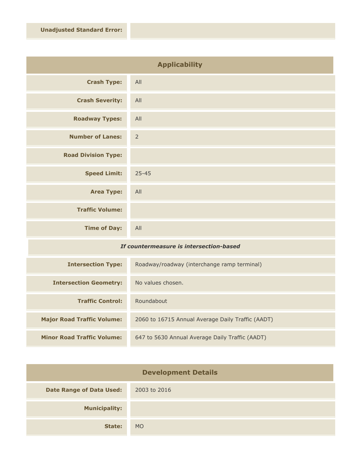| <b>Applicability</b>       |                |
|----------------------------|----------------|
| <b>Crash Type:</b>         | All            |
| <b>Crash Severity:</b>     | All            |
| <b>Roadway Types:</b>      | All            |
| <b>Number of Lanes:</b>    | $\overline{2}$ |
| <b>Road Division Type:</b> |                |
| <b>Speed Limit:</b>        | $25 - 45$      |
| <b>Area Type:</b>          | All            |
| <b>Traffic Volume:</b>     |                |
| <b>Time of Day:</b>        | All            |

## *If countermeasure is intersection-based*

| <b>Intersection Type:</b>         | Roadway/roadway (interchange ramp terminal)       |
|-----------------------------------|---------------------------------------------------|
| <b>Intersection Geometry:</b>     | No values chosen.                                 |
| <b>Traffic Control:</b>           | Roundabout                                        |
| <b>Major Road Traffic Volume:</b> | 2060 to 16715 Annual Average Daily Traffic (AADT) |
| <b>Minor Road Traffic Volume:</b> | 647 to 5630 Annual Average Daily Traffic (AADT)   |

| <b>Development Details</b>      |              |
|---------------------------------|--------------|
| <b>Date Range of Data Used:</b> | 2003 to 2016 |
| <b>Municipality:</b>            |              |
| State:                          | <b>MO</b>    |